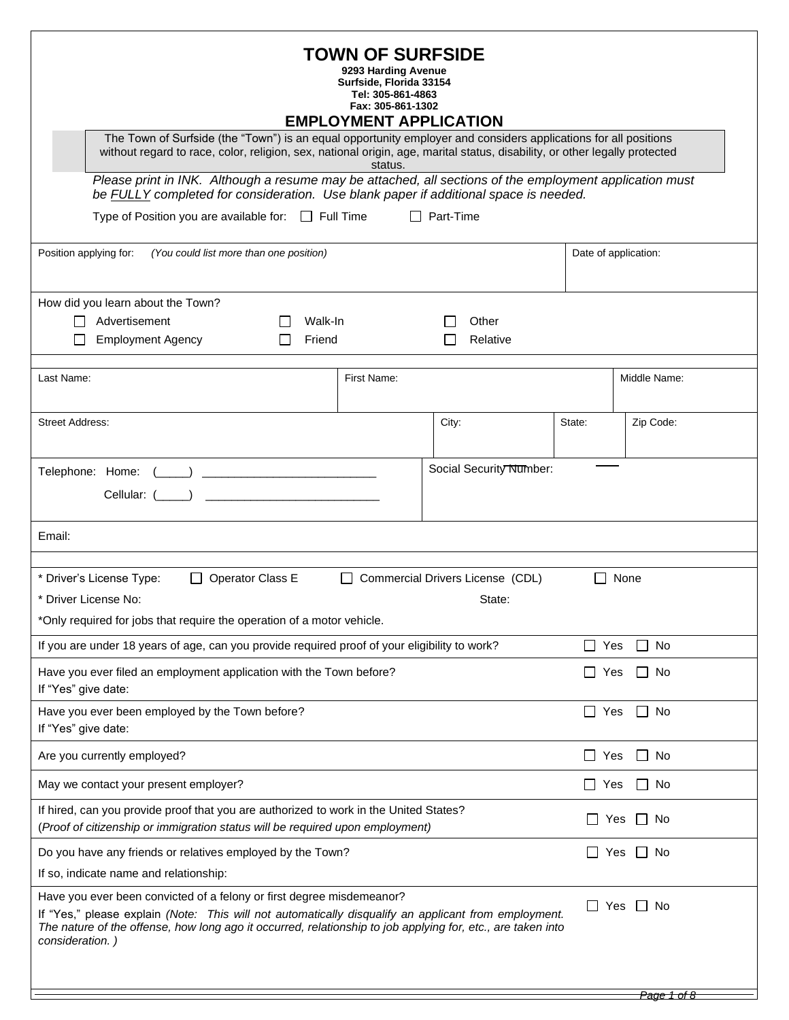| <b>TOWN OF SURFSIDE</b><br>9293 Harding Avenue<br>Surfside, Florida 33154<br>Tel: 305-861-4863<br>Fax: 305-861-1302<br><b>EMPLOYMENT APPLICATION</b><br>The Town of Surfside (the "Town") is an equal opportunity employer and considers applications for all positions                                                                       |             |           |                   |                                 |                        |
|-----------------------------------------------------------------------------------------------------------------------------------------------------------------------------------------------------------------------------------------------------------------------------------------------------------------------------------------------|-------------|-----------|-------------------|---------------------------------|------------------------|
| without regard to race, color, religion, sex, national origin, age, marital status, disability, or other legally protected                                                                                                                                                                                                                    | status.     |           |                   |                                 |                        |
| Please print in INK. Although a resume may be attached, all sections of the employment application must<br>be FULLY completed for consideration. Use blank paper if additional space is needed.                                                                                                                                               |             |           |                   |                                 |                        |
| Type of Position you are available for: $\Box$ Full Time                                                                                                                                                                                                                                                                                      |             | Part-Time |                   |                                 |                        |
| Position applying for:<br>(You could list more than one position)                                                                                                                                                                                                                                                                             |             |           |                   |                                 | Date of application:   |
| How did you learn about the Town?                                                                                                                                                                                                                                                                                                             |             |           |                   |                                 |                        |
| Advertisement<br>Walk-In<br><b>Employment Agency</b><br>Friend                                                                                                                                                                                                                                                                                |             |           | Other<br>Relative |                                 |                        |
| Last Name:                                                                                                                                                                                                                                                                                                                                    | First Name: |           |                   |                                 | Middle Name:           |
| <b>Street Address:</b>                                                                                                                                                                                                                                                                                                                        |             | City:     |                   | State:                          | Zip Code:              |
| Social Security Number:<br>Telephone: Home:<br>Cellular: (                                                                                                                                                                                                                                                                                    |             |           |                   |                                 |                        |
| Email:                                                                                                                                                                                                                                                                                                                                        |             |           |                   |                                 |                        |
| * Driver's License Type:<br>Operator Class E<br>Commercial Drivers License (CDL)<br>None<br>* Driver License No:<br>State:                                                                                                                                                                                                                    |             |           |                   |                                 |                        |
| *Only required for jobs that require the operation of a motor vehicle.                                                                                                                                                                                                                                                                        |             |           |                   |                                 |                        |
| If you are under 18 years of age, can you provide required proof of your eligibility to work?                                                                                                                                                                                                                                                 |             |           |                   | Yes<br>$\overline{\phantom{a}}$ | No<br>$\mathsf{L}$     |
| Have you ever filed an employment application with the Town before?<br>If "Yes" give date:                                                                                                                                                                                                                                                    |             |           |                   | Yes<br>$\Box$                   | $\Box$ No              |
| Have you ever been employed by the Town before?<br>$\Box$ No<br>$\Box$<br>Yes<br>If "Yes" give date:                                                                                                                                                                                                                                          |             |           |                   |                                 |                        |
| Are you currently employed?                                                                                                                                                                                                                                                                                                                   |             |           |                   | $\Box$ Yes                      | $\perp$<br>No          |
| May we contact your present employer?                                                                                                                                                                                                                                                                                                         |             |           |                   | $\Box$ Yes                      | No<br>$\Box$           |
| If hired, can you provide proof that you are authorized to work in the United States?<br>(Proof of citizenship or immigration status will be required upon employment)                                                                                                                                                                        |             |           |                   |                                 | $\Box$ No<br>Yes       |
| Do you have any friends or relatives employed by the Town?                                                                                                                                                                                                                                                                                    |             |           |                   |                                 | $\Box$ No<br>Yes       |
| If so, indicate name and relationship:                                                                                                                                                                                                                                                                                                        |             |           |                   |                                 |                        |
| Have you ever been convicted of a felony or first degree misdemeanor?<br>$\Box$ Yes<br>$\Box$<br>No<br>If "Yes," please explain (Note: This will not automatically disqualify an applicant from employment.<br>The nature of the offense, how long ago it occurred, relationship to job applying for, etc., are taken into<br>consideration.) |             |           |                   |                                 |                        |
|                                                                                                                                                                                                                                                                                                                                               |             |           |                   |                                 | <del>Page 1 of 8</del> |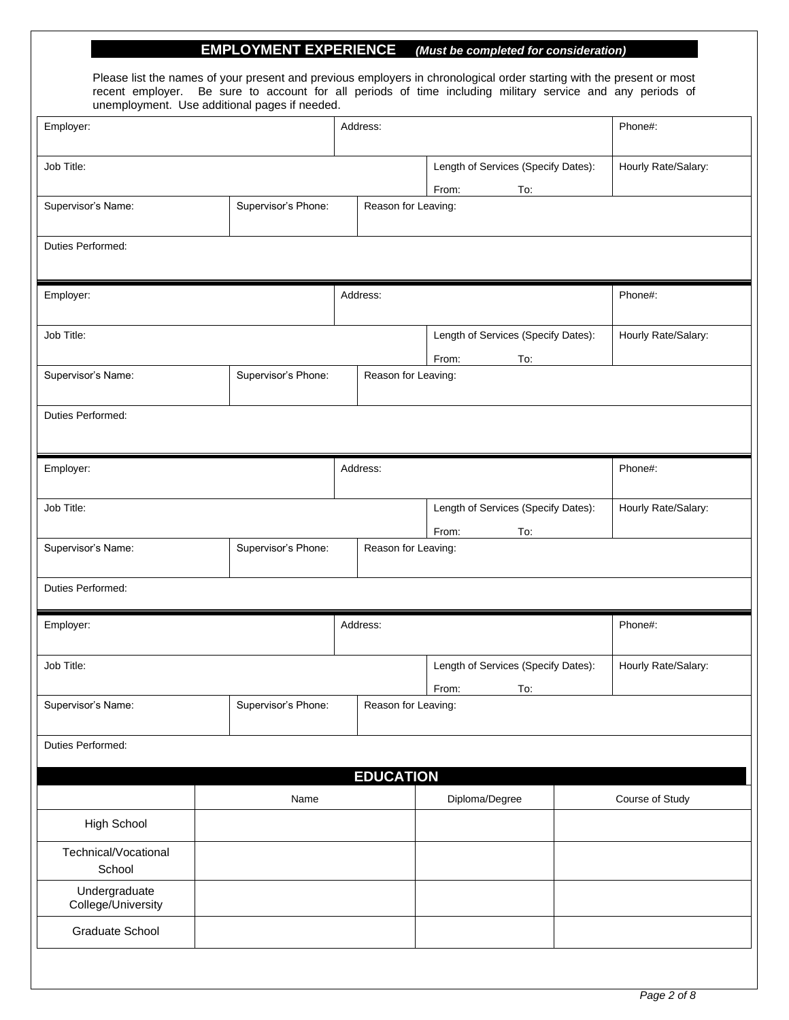## **. EMPLOYMENT EXPERIENCE** *(Must be completed for consideration)*

Please list the names of your present and previous employers in chronological order starting with the present or most recent employer. Be sure to account for all periods of time including military service and any periods of unemployment. Use additional pages if needed.

| Job Title:<br>Length of Services (Specify Dates):<br>Hourly Rate/Salary:<br>From:<br>To:<br>Supervisor's Phone:<br>Supervisor's Name:<br>Reason for Leaving:<br>Duties Performed:<br>Employer:<br>Address:<br>Phone#:<br>Job Title:<br>Length of Services (Specify Dates):<br>Hourly Rate/Salary:<br>From:<br>To:<br>Supervisor's Phone:<br>Supervisor's Name:<br>Reason for Leaving:<br>Duties Performed:<br>Employer:<br>Address:<br>Phone#:<br>Job Title:<br>Length of Services (Specify Dates):<br>Hourly Rate/Salary:<br>From:<br>To:<br>Supervisor's Phone:<br>Reason for Leaving:<br>Supervisor's Name:<br>Duties Performed:<br>Address:<br>Phone#:<br>Employer:<br>Job Title:<br>Length of Services (Specify Dates):<br>Hourly Rate/Salary:<br>From:<br>To:<br>Supervisor's Name:<br>Supervisor's Phone:<br>Reason for Leaving:<br>Duties Performed:<br><b>EDUCATION</b><br>Diploma/Degree<br>Course of Study<br>Name<br><b>High School</b><br>Technical/Vocational<br>School | Employer:     | Address: |  |  |  |  | Phone#: |
|---------------------------------------------------------------------------------------------------------------------------------------------------------------------------------------------------------------------------------------------------------------------------------------------------------------------------------------------------------------------------------------------------------------------------------------------------------------------------------------------------------------------------------------------------------------------------------------------------------------------------------------------------------------------------------------------------------------------------------------------------------------------------------------------------------------------------------------------------------------------------------------------------------------------------------------------------------------------------------------|---------------|----------|--|--|--|--|---------|
|                                                                                                                                                                                                                                                                                                                                                                                                                                                                                                                                                                                                                                                                                                                                                                                                                                                                                                                                                                                       |               |          |  |  |  |  |         |
|                                                                                                                                                                                                                                                                                                                                                                                                                                                                                                                                                                                                                                                                                                                                                                                                                                                                                                                                                                                       |               |          |  |  |  |  |         |
|                                                                                                                                                                                                                                                                                                                                                                                                                                                                                                                                                                                                                                                                                                                                                                                                                                                                                                                                                                                       |               |          |  |  |  |  |         |
|                                                                                                                                                                                                                                                                                                                                                                                                                                                                                                                                                                                                                                                                                                                                                                                                                                                                                                                                                                                       |               |          |  |  |  |  |         |
|                                                                                                                                                                                                                                                                                                                                                                                                                                                                                                                                                                                                                                                                                                                                                                                                                                                                                                                                                                                       |               |          |  |  |  |  |         |
|                                                                                                                                                                                                                                                                                                                                                                                                                                                                                                                                                                                                                                                                                                                                                                                                                                                                                                                                                                                       |               |          |  |  |  |  |         |
|                                                                                                                                                                                                                                                                                                                                                                                                                                                                                                                                                                                                                                                                                                                                                                                                                                                                                                                                                                                       |               |          |  |  |  |  |         |
|                                                                                                                                                                                                                                                                                                                                                                                                                                                                                                                                                                                                                                                                                                                                                                                                                                                                                                                                                                                       |               |          |  |  |  |  |         |
|                                                                                                                                                                                                                                                                                                                                                                                                                                                                                                                                                                                                                                                                                                                                                                                                                                                                                                                                                                                       |               |          |  |  |  |  |         |
|                                                                                                                                                                                                                                                                                                                                                                                                                                                                                                                                                                                                                                                                                                                                                                                                                                                                                                                                                                                       |               |          |  |  |  |  |         |
|                                                                                                                                                                                                                                                                                                                                                                                                                                                                                                                                                                                                                                                                                                                                                                                                                                                                                                                                                                                       |               |          |  |  |  |  |         |
|                                                                                                                                                                                                                                                                                                                                                                                                                                                                                                                                                                                                                                                                                                                                                                                                                                                                                                                                                                                       |               |          |  |  |  |  |         |
|                                                                                                                                                                                                                                                                                                                                                                                                                                                                                                                                                                                                                                                                                                                                                                                                                                                                                                                                                                                       |               |          |  |  |  |  |         |
|                                                                                                                                                                                                                                                                                                                                                                                                                                                                                                                                                                                                                                                                                                                                                                                                                                                                                                                                                                                       |               |          |  |  |  |  |         |
|                                                                                                                                                                                                                                                                                                                                                                                                                                                                                                                                                                                                                                                                                                                                                                                                                                                                                                                                                                                       |               |          |  |  |  |  |         |
|                                                                                                                                                                                                                                                                                                                                                                                                                                                                                                                                                                                                                                                                                                                                                                                                                                                                                                                                                                                       |               |          |  |  |  |  |         |
|                                                                                                                                                                                                                                                                                                                                                                                                                                                                                                                                                                                                                                                                                                                                                                                                                                                                                                                                                                                       |               |          |  |  |  |  |         |
|                                                                                                                                                                                                                                                                                                                                                                                                                                                                                                                                                                                                                                                                                                                                                                                                                                                                                                                                                                                       |               |          |  |  |  |  |         |
| College/University                                                                                                                                                                                                                                                                                                                                                                                                                                                                                                                                                                                                                                                                                                                                                                                                                                                                                                                                                                    | Undergraduate |          |  |  |  |  |         |
| Graduate School                                                                                                                                                                                                                                                                                                                                                                                                                                                                                                                                                                                                                                                                                                                                                                                                                                                                                                                                                                       |               |          |  |  |  |  |         |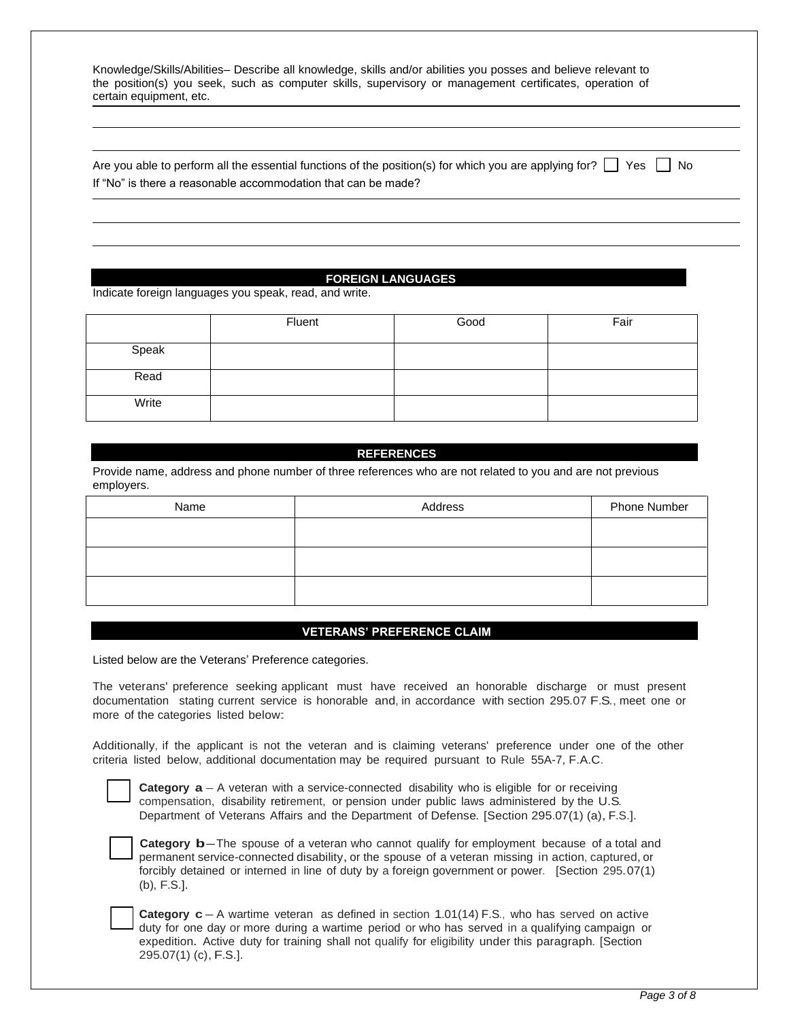Knowledge/Skills/Abilities– Describe all knowledge, skills and/or abilities you posses and believe relevant to the position(s) you seek, such as computer skills, supervisory or management certificates, operation of certain equipment, etc.

Are you able to perform all the essential functions of the position(s) for which you are applying for?  $\Box$  Yes  $\Box$  No If "No" is there a reasonable accommodation that can be made?

## -**FOREIGN LANGUAGES**

Indicate foreign languages you speak, read, and write.

|       | Fluent | Good | Fair |
|-------|--------|------|------|
| Speak |        |      |      |
| Read  |        |      |      |
| Write |        |      |      |

### -**REFERENCES**

Provide name, address and phone number of three references who are not related to you and are not previous employers.

| Name | Address | Phone Number |
|------|---------|--------------|
|      |         |              |
|      |         |              |
|      |         |              |
|      |         |              |
|      |         |              |

#### -**VETERANS' PREFERENCE CLAIM**

Listed below are the Veterans' Preference categories.

The veterans' preference seeking applicant must have received an honorable discharge or must present documentation stating current service is honorable and, in accordance with section 295.07 F.S., meet one or more of the categories listed below:

Additionally, if the applicant is not the veteran and is claiming veterans' preference under one of the other criteria listed below, additional documentation may be required pursuant to Rule 55A-7, F.A.C.

**Category**  $a - A$  veteran with a service-connected disability who is eligible for or receiving compensation, disability retirement, or pension under public laws administered by the U.S. Department of Veterans Affairs and the Department of Defense. [Section 295.07(1) (a),F.S.].



**Category <b>b**–The spouse of a veteran who cannot qualify for employment because of a total and permanent service-connected disability, or the spouse of a veteran missing in action, captured, or forcibly detained or interned in line of duty by <sup>a</sup> foreign government or power. [Section 295.07(1) (b), F.S.].

**Category**  $c - A$  wartime veteran as defined in section 1.01(14) F.S., who has served on active duty for one day or more during a wartime period or who has served in a qualifying campaign or expedition. Active duty for training shall not qualify for eligibility under this paragraph. [Section 295.07(1) (c),F.S.].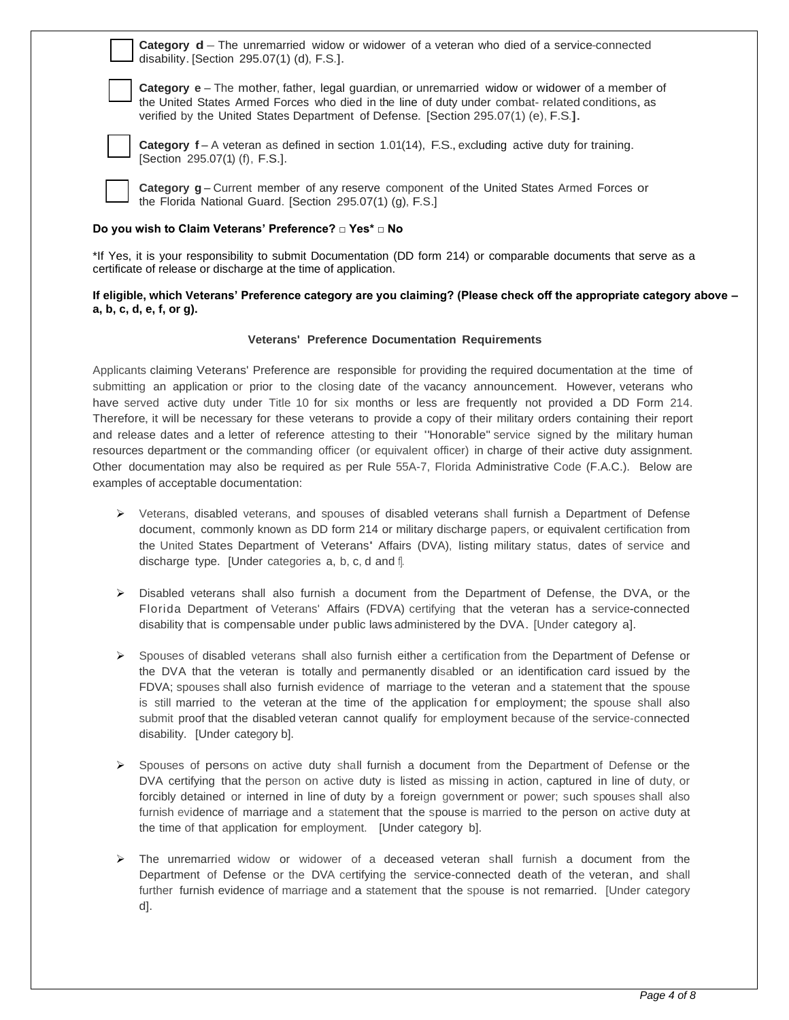**Category <b>d** – The unremarried widow or widower of a veteran who died of a service-connected disability.[Section 295.07(1) (d), F.S.].

**Category e** – The mother, father, legal guardian, or unremarried widow or widower of a member of the United States Armed Forces who died in the line of duty under combat- related conditions, as verified by the United States Department of Defense. [Section 295.07(1) (e), F.S.].



**Category**  $f - A$  veteran as defined in section 1.01(14), F.S., excluding active duty for training. [Section 295.07(1) (f), F.S.].

**Category g** – Current member of any reserve component of the United States Armed Forces or the Florida National Guard. [Section 295.07(1) (g), F.S.]

#### **Do you wish to Claim Veterans' Preference? □ Yes\* □ No**

\*If Yes, it is your responsibility to submit Documentation (DD form 214) or comparable documents that serve as a certificate of release or discharge at the time of application.

#### **If eligible, which Veterans' Preference category are you claiming? (Please check off the appropriate category above – a, b, c, d, e, f, or g).**

#### **Veterans' Preference Documentation Requirements**

Applicants claiming Veterans' Preference are responsible for providing the required documentation at the time of submitting an application or prior to the closing date of the vacancy announcement. However, veterans who have served active duty under Title 10 for six months or less are frequently not provided a DD Form 214. Therefore, it will be necessary for these veterans to provide a copy of their military orders containing their report and release dates and a letter of reference attesting to their "Honorable" service signed by the military human resources department or the commanding officer (or equivalent officer) in charge of their active duty assignment. Other documentation may also be required as per Rule 55A-7, Florida Administrative Code (F.A.C.). Below are examples of acceptable documentation:

- ➢ Veterans, disabled veterans, and spouses of disabled veterans shall furnish a Department of Defense document, commonly known as DD form 214 or military discharge papers, or equivalent certification from the United States Department of Veterans' Affairs (DVA), listing military status, dates of service and discharge type. [Under categories a, b, c, d and f].
- ➢ Disabled veterans shall also furnish <sup>a</sup> document from the Department of Defense, the DVA, or the Florida Department of Veterans' Affairs (FDVA) certifying that the veteran has a service-connected disability that is compensable under public laws administered by the DVA. [Under category a].
- ➢ Spouses of disabled veterans shall also furnish either a certification from the Department of Defense or the DVA that the veteran is totally and permanently disabled or an identification card issued by the FDVA; spouses shall also furnish evidence of marriage to the veteran and a statement that the spouse is still married to the veteran at the time of the application for employment; the spouse shall also submit proof that the disabled veteran cannot qualify for employment because of the service-connected disability. [Under category b].
- ➢ Spouses of persons on active duty shall furnish a document from the Department of Defense or the DVA certifying that the person on active duty is listed as missing in action, captured in line of duty, or forcibly detained or interned in line of duty by a foreign government or power; such spouses shall also furnish evidence of marriage and a statement that the spouse is married to the person on active duty at the time of that application for employment. [Under category b].
- ➢ The unremarried widow or widower of a deceased veteran shall furnish a document from the Department of Defense or the DVA certifying the service-connected death of the veteran, and shall further furnish evidence of marriage and a statement that the spouse is not remarried. [Under category d].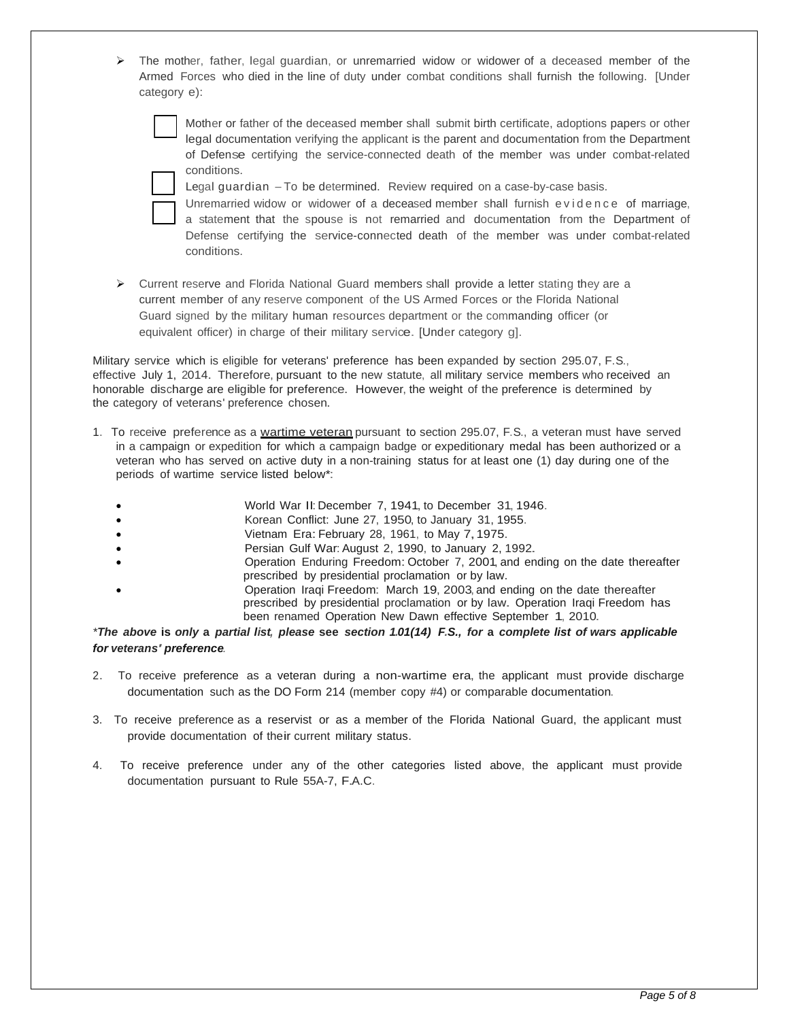$\triangleright$  The mother, father, legal guardian, or unremarried widow or widower of a deceased member of the Armed Forces who died in the line of duty under combat conditions shall furnish the following. [Under category e):

Mother or father of the deceased member shall submit birth certificate, adoptions papers or other legal documentation verifying the applicant is the parent and documentation from the Department of Defense certifying the service-connected death of the member was under combat-related conditions.



Legal guardian  $-To$  be determined. Review required on a case-by-case basis.

- Unremarried widow or widower of a deceased member shall furnish e vidence of marriage, a statement that the spouse is not remarried and documentation from the Department of Defense certifying the service-connected death of the member was under combat-related conditions.
- ➢ Current reserve and Florida National Guard members shall provide a letter stating they are a current member of any reserve component of the US Armed Forces or the Florida National Guard signed by the military human resources department or the commanding officer (or equivalent officer) in charge of their military service. [Under category g].

Military service which is eligible for veterans' preference has been expanded by section 295.07, F.S., effective July 1, 2014. Therefore, pursuant to the new statute, all military service members who received an honorable discharge are eligible for preference. However, the weight of the preference is determined by the category of veterans' preference chosen.

- 1. To receive preference as a wartime veteran pursuant to section 295.07, F.S., a veteran must have served in <sup>a</sup> campaign or expedition for which <sup>a</sup> campaign badge or expeditionary medal has been authorized or <sup>a</sup> veteran who has served on active duty in a non-training status for at least one (1) day during one of the periods of wartime service listed below\*:
	- World War II:December 7, 1941, to December 31, 1946.
	- Korean Conflict: June 27, 1950, to January 31, 1955.
	- Vietnam Era: February 28, 1961, to May 7, 1975.
	- Persian Gulf War: August 2, 1990, to January 2, 1992.
	- Operation Enduring Freedom: October 7, 2001, and ending on the date thereafter prescribed by presidential proclamation or by law.
	- Operation Iraqi Freedom: March 19, 2003, and ending on the date thereafter prescribed by presidential proclamation or by law. Operation Iraqi Freedom has been renamed Operation New Dawn effective September 1, 2010.

\*The above is only a partial list, please see section 1.01(14) F.S., for a complete list of wars applicable *for veterans' preference.*

- 2. To receive preference as a veteran during a non-wartime era, the applicant must provide discharge documentation such as the DO Form 214 (member copy #4) or comparable documentation.
- 3. To receive preference as a reservist or as a member of the Florida National Guard, the applicant must provide documentation of their current military status.
- 4. To receive preference under any of the other categories listed above, the applicant must provide documentation pursuant to Rule 55A-7, F.A.C.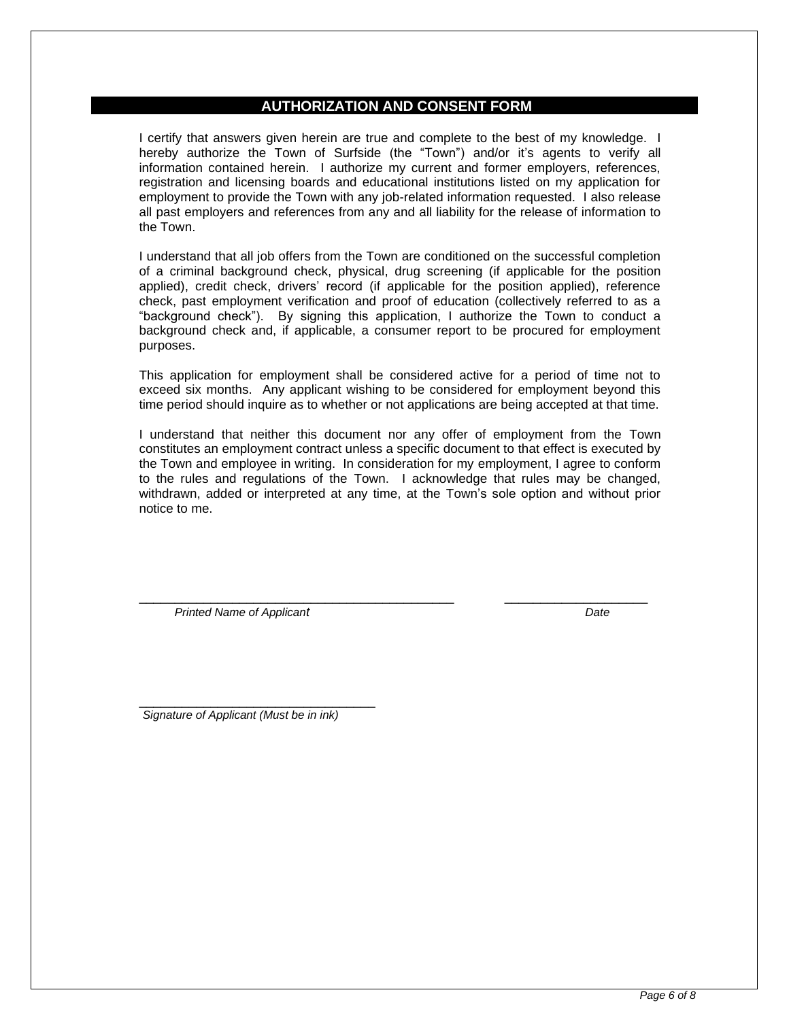## **-AUTHORIZATION AND CONSENT FORM**

I certify that answers given herein are true and complete to the best of my knowledge. I hereby authorize the Town of Surfside (the "Town") and/or it's agents to verify all information contained herein. I authorize my current and former employers, references, registration and licensing boards and educational institutions listed on my application for employment to provide the Town with any job-related information requested. I also release all past employers and references from any and all liability for the release of information to the Town.

I understand that all job offers from the Town are conditioned on the successful completion of a criminal background check, physical, drug screening (if applicable for the position applied), credit check, drivers' record (if applicable for the position applied), reference check, past employment verification and proof of education (collectively referred to as a "background check"). By signing this application, I authorize the Town to conduct a background check and, if applicable, a consumer report to be procured for employment purposes.

This application for employment shall be considered active for a period of time not to exceed six months. Any applicant wishing to be considered for employment beyond this time period should inquire as to whether or not applications are being accepted at that time.

I understand that neither this document nor any offer of employment from the Town constitutes an employment contract unless a specific document to that effect is executed by the Town and employee in writing. In consideration for my employment, I agree to conform to the rules and regulations of the Town. I acknowledge that rules may be changed, withdrawn, added or interpreted at any time, at the Town's sole option and without prior notice to me.

\_\_\_\_\_\_\_\_\_\_\_\_\_\_\_\_\_\_\_\_\_\_\_\_\_\_\_\_\_\_\_\_\_\_\_\_\_\_\_\_\_\_\_\_ \_\_\_\_\_\_\_\_\_\_\_\_\_\_\_\_\_\_\_\_

 *Printed Name of Applicant Date* 

\_\_\_\_\_\_\_\_\_\_\_\_\_\_\_\_\_\_\_\_\_\_\_\_\_\_\_\_\_\_\_\_\_ *Signature of Applicant (Must be in ink)*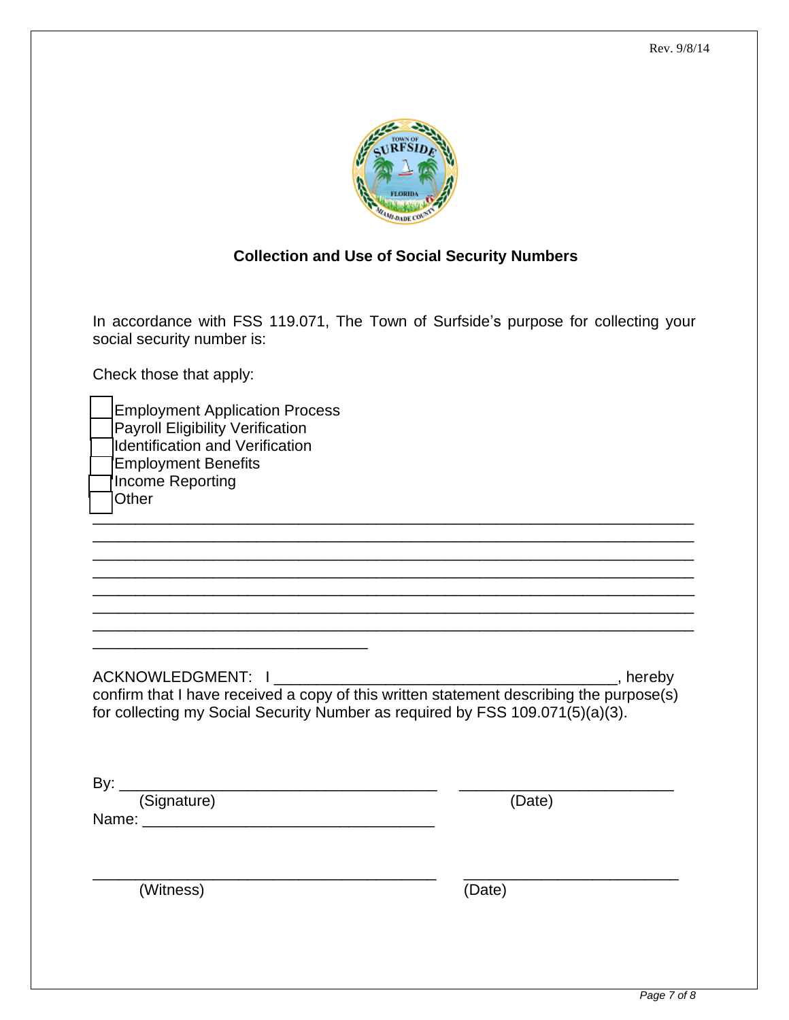

# **Collection and Use of Social Security Numbers**

In accordance with FSS 119.071, The Town of Surfside's purpose for collecting your social security number is:

Check those that apply:

| <b>Employment Application Process</b><br><b>Payroll Eligibility Verification</b><br><b>Identification and Verification</b><br><b>Employment Benefits</b><br>Income Reporting<br>Other |        |
|---------------------------------------------------------------------------------------------------------------------------------------------------------------------------------------|--------|
| confirm that I have received a copy of this written statement describing the purpose(s)<br>for collecting my Social Security Number as required by FSS 109.071(5)(a)(3).              |        |
| By: <u>(Signature)</u>                                                                                                                                                                | (Date) |
| (Witness)                                                                                                                                                                             | (Date) |